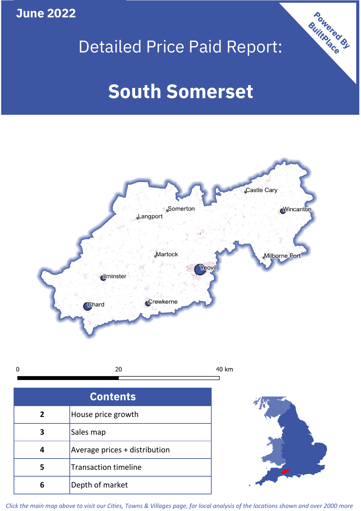**June 2022**

 $\mathbf 0$ 

# Detailed Price Paid Report:

# **South Somerset**



| <b>Contents</b> |                               |  |  |
|-----------------|-------------------------------|--|--|
| $\overline{2}$  | House price growth            |  |  |
| 3               | Sales map                     |  |  |
|                 | Average prices + distribution |  |  |
| 5               | <b>Transaction timeline</b>   |  |  |
|                 | Depth of market               |  |  |



Powered By

*Click the main map above to visit our Cities, Towns & Villages page, for local analysis of the locations shown and over 2000 more*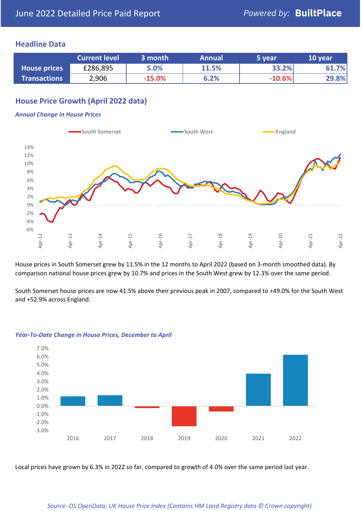#### **Headline Data**

|                     | <b>Current level</b> | 3 month  | <b>Annual</b> | 5 year   | 10 year |
|---------------------|----------------------|----------|---------------|----------|---------|
| <b>House prices</b> | £286,895             | 5.0%     | 11.5%         | 33.2%    | 61.7%   |
| <b>Transactions</b> | 2,906                | $-15.0%$ | 6.2%          | $-10.6%$ | 29.8%   |

# **House Price Growth (April 2022 data)**

#### *Annual Change in House Prices*



House prices in South Somerset grew by 11.5% in the 12 months to April 2022 (based on 3-month smoothed data). By comparison national house prices grew by 10.7% and prices in the South West grew by 12.3% over the same period.

South Somerset house prices are now 41.5% above their previous peak in 2007, compared to +49.0% for the South West and +52.9% across England.



#### *Year-To-Date Change in House Prices, December to April*

Local prices have grown by 6.3% in 2022 so far, compared to growth of 4.0% over the same period last year.

#### *Source: OS OpenData; UK House Price Index (Contains HM Land Registry data © Crown copyright)*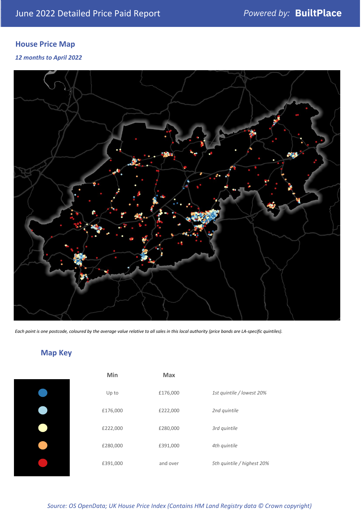# **House Price Map**

*12 months to April 2022*



*Each point is one postcode, coloured by the average value relative to all sales in this local authority (price bands are LA-specific quintiles).*

# **Map Key**

| Min      | <b>Max</b> |              |
|----------|------------|--------------|
| Up to    | £176,000   | 1st quintile |
| £176,000 | £222,000   | 2nd quintile |
| £222,000 | £280,000   | 3rd quintile |
| £280,000 | £391,000   | 4th quintile |
| £391,000 | and over   | 5th quintile |
|          |            |              |

| Min      | <b>Max</b> |                            |
|----------|------------|----------------------------|
| Up to    | £176,000   | 1st quintile / lowest 20%  |
| £176,000 | £222,000   | 2nd quintile               |
| £222,000 | £280,000   | 3rd quintile               |
| £280,000 | £391,000   | 4th quintile               |
| £391,000 | and over   | 5th quintile / highest 20% |

*Source: OS OpenData; UK House Price Index (Contains HM Land Registry data © Crown copyright)*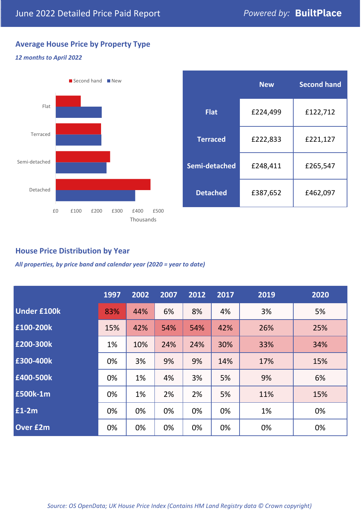# **Average House Price by Property Type**

#### *12 months to April 2022*



|                 | <b>New</b> | <b>Second hand</b> |  |
|-----------------|------------|--------------------|--|
| <b>Flat</b>     | £224,499   | £122,712           |  |
| <b>Terraced</b> | £222,833   | £221,127           |  |
| Semi-detached   | £248,411   | £265,547           |  |
| <b>Detached</b> | £387,652   | £462,097           |  |

## **House Price Distribution by Year**

*All properties, by price band and calendar year (2020 = year to date)*

|                    | 1997 | 2002 | 2007 | 2012 | 2017 | 2019 | 2020 |
|--------------------|------|------|------|------|------|------|------|
| <b>Under £100k</b> | 83%  | 44%  | 6%   | 8%   | 4%   | 3%   | 5%   |
| £100-200k          | 15%  | 42%  | 54%  | 54%  | 42%  | 26%  | 25%  |
| £200-300k          | 1%   | 10%  | 24%  | 24%  | 30%  | 33%  | 34%  |
| £300-400k          | 0%   | 3%   | 9%   | 9%   | 14%  | 17%  | 15%  |
| £400-500k          | 0%   | 1%   | 4%   | 3%   | 5%   | 9%   | 6%   |
| £500k-1m           | 0%   | 1%   | 2%   | 2%   | 5%   | 11%  | 15%  |
| £1-2m              | 0%   | 0%   | 0%   | 0%   | 0%   | 1%   | 0%   |
| <b>Over £2m</b>    | 0%   | 0%   | 0%   | 0%   | 0%   | 0%   | 0%   |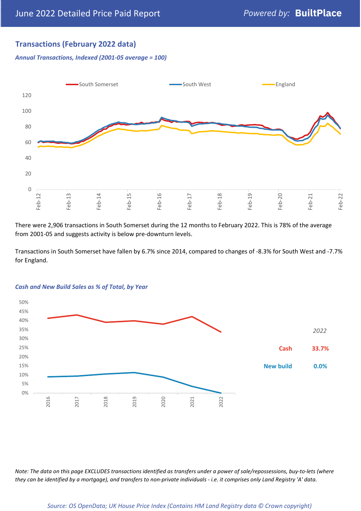# **Transactions (February 2022 data)**

*Annual Transactions, Indexed (2001-05 average = 100)*



There were 2,906 transactions in South Somerset during the 12 months to February 2022. This is 78% of the average from 2001-05 and suggests activity is below pre-downturn levels.

Transactions in South Somerset have fallen by 6.7% since 2014, compared to changes of -8.3% for South West and -7.7% for England.



#### *Cash and New Build Sales as % of Total, by Year*

*Note: The data on this page EXCLUDES transactions identified as transfers under a power of sale/repossessions, buy-to-lets (where they can be identified by a mortgage), and transfers to non-private individuals - i.e. it comprises only Land Registry 'A' data.*